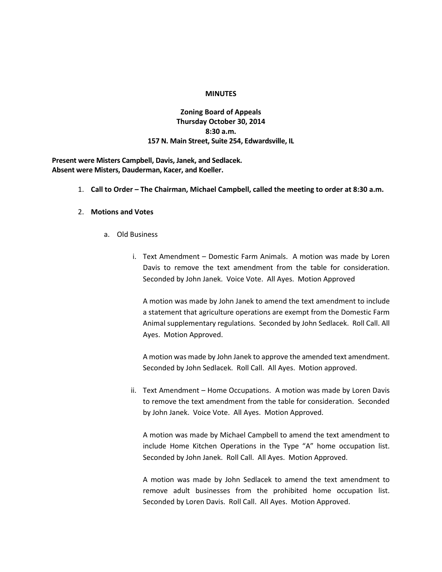#### **MINUTES**

# **Zoning Board of Appeals Thursday October 30, 2014 8:30 a.m. 157 N. Main Street, Suite 254, Edwardsville, IL**

**Present were Misters Campbell, Davis, Janek, and Sedlacek. Absent were Misters, Dauderman, Kacer, and Koeller.**

1. **Call to Order – The Chairman, Michael Campbell, called the meeting to order at 8:30 a.m.**

### 2. **Motions and Votes**

- a. Old Business
	- i. Text Amendment Domestic Farm Animals. A motion was made by Loren Davis to remove the text amendment from the table for consideration. Seconded by John Janek. Voice Vote. All Ayes. Motion Approved

A motion was made by John Janek to amend the text amendment to include a statement that agriculture operations are exempt from the Domestic Farm Animal supplementary regulations. Seconded by John Sedlacek. Roll Call. All Ayes. Motion Approved.

A motion was made by John Janek to approve the amended text amendment. Seconded by John Sedlacek. Roll Call. All Ayes. Motion approved.

ii. Text Amendment – Home Occupations. A motion was made by Loren Davis to remove the text amendment from the table for consideration. Seconded by John Janek. Voice Vote. All Ayes. Motion Approved.

A motion was made by Michael Campbell to amend the text amendment to include Home Kitchen Operations in the Type "A" home occupation list. Seconded by John Janek. Roll Call. All Ayes. Motion Approved.

A motion was made by John Sedlacek to amend the text amendment to remove adult businesses from the prohibited home occupation list. Seconded by Loren Davis. Roll Call. All Ayes. Motion Approved.